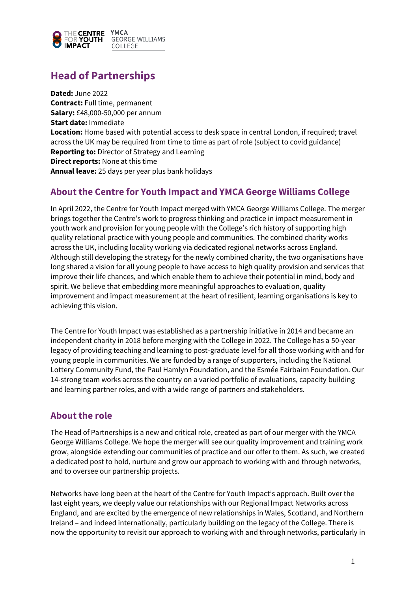

# **Head of Partnerships**

**Dated:** June 2022 **Contract:** Full time, permanent **Salary:** £48,000-50,000 per annum **Start date:** Immediate **Location:** Home based with potential access to desk space in central London, if required; travel across the UK may be required from time to time as part of role (subject to covid guidance) **Reporting to:** Director of Strategy and Learning **Direct reports:** None at this time **Annual leave:** 25 days per year plus bank holidays

### **About the Centre for Youth Impact and YMCA George Williams College**

In April 2022, the Centre for Youth Impact merged with YMCA George Williams College. The merger brings together the Centre's work to progress thinking and practice in impact measurement in youth work and provision for young people with the College's rich history of supporting high quality relational practice with young people and communities. The combined charity works across the UK, including locality working via dedicated regional networks across England. Although still developing the strategy for the newly combined charity, the two organisations have long shared a vision for all young people to have access to high quality provision and services that improve their life chances, and which enable them to achieve their potential in mind, body and spirit. We believe that embedding more meaningful approaches to evaluation, quality improvement and impact measurement at the heart of resilient, learning organisations is key to achieving this vision.

The Centre for Youth Impact was established as a partnership initiative in 2014 and became an independent charity in 2018 before merging with the College in 2022. The College has a 50-year legacy of providing teaching and learning to post-graduate level for all those working with and for young people in communities. We are funded by a range of supporters, including the National Lottery Community Fund, the Paul Hamlyn Foundation, and the Esmée Fairbairn Foundation. Our 14-strong team works across the country on a varied portfolio of evaluations, capacity building and learning partner roles, and with a wide range of partners and stakeholders.

### **About the role**

The Head of Partnerships is a new and critical role, created as part of our merger with the YMCA George Williams College. We hope the merger will see our quality improvement and training work grow, alongside extending our communities of practice and our offer to them. As such, we created a dedicated post to hold, nurture and grow our approach to working with and through networks, and to oversee our partnership projects.

Networks have long been at the heart of the Centre for Youth Impact's approach. Built over the last eight years, we deeply value our relationships with our Regional Impact Networks across England, and are excited by the emergence of new relationships in Wales, Scotland, and Northern Ireland – and indeed internationally, particularly building on the legacy of the College. There is now the opportunity to revisit our approach to working with and through networks, particularly in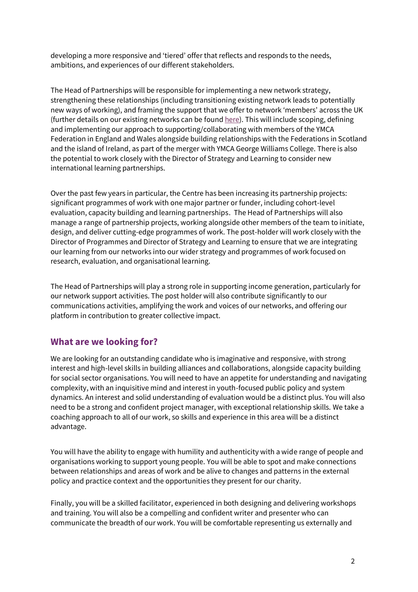developing a more responsive and 'tiered' offer that reflects and responds to the needs, ambitions, and experiences of our different stakeholders.

The Head of Partnerships will be responsible for implementing a new network strategy, strengthening these relationships (including transitioning existing network leads to potentially new ways of working), and framing the support that we offer to network 'members' across the UK (further details on our existing networks can be found [here\)](http://www.youthimpact.uk/networks.html). This will include scoping, defining and implementing our approach to supporting/collaborating with members of the YMCA Federation in England and Wales alongside building relationships with the Federations in Scotland and the island of Ireland, as part of the merger with YMCA George Williams College. There is also the potential to work closely with the Director of Strategy and Learning to consider new international learning partnerships.

Over the past few years in particular, the Centre has been increasing its partnership projects: significant programmes of work with one major partner or funder, including cohort-level evaluation, capacity building and learning partnerships. The Head of Partnerships will also manage a range of partnership projects, working alongside other members of the team to initiate, design, and deliver cutting-edge programmes of work. The post-holder will work closely with the Director of Programmes and Director of Strategy and Learning to ensure that we are integrating our learning from our networks into our wider strategy and programmes of work focused on research, evaluation, and organisational learning.

The Head of Partnerships will play a strong role in supporting income generation, particularly for our network support activities. The post holder will also contribute significantly to our communications activities, amplifying the work and voices of our networks, and offering our platform in contribution to greater collective impact.

# **What are we looking for?**

We are looking for an outstanding candidate who is imaginative and responsive, with strong interest and high-level skills in building alliances and collaborations, alongside capacity building for social sector organisations. You will need to have an appetite for understanding and navigating complexity, with an inquisitive mind and interest in youth-focused public policy and system dynamics. An interest and solid understanding of evaluation would be a distinct plus. You will also need to be a strong and confident project manager, with exceptional relationship skills. We take a coaching approach to all of our work, so skills and experience in this area will be a distinct advantage.

You will have the ability to engage with humility and authenticity with a wide range of people and organisations working to support young people. You will be able to spot and make connections between relationships and areas of work and be alive to changes and patterns in the external policy and practice context and the opportunities they present for our charity.

Finally, you will be a skilled facilitator, experienced in both designing and delivering workshops and training. You will also be a compelling and confident writer and presenter who can communicate the breadth of our work. You will be comfortable representing us externally and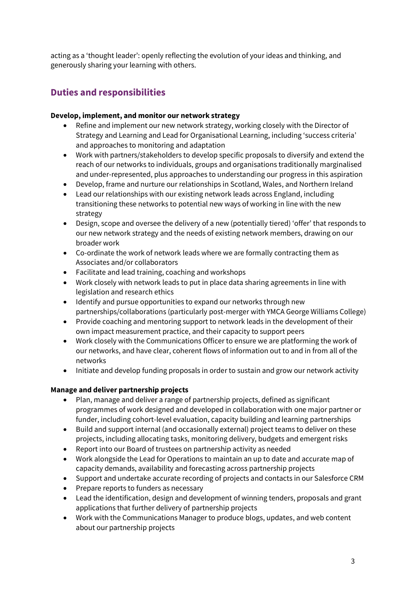acting as a 'thought leader': openly reflecting the evolution of your ideas and thinking, and generously sharing your learning with others.

# **Duties and responsibilities**

#### **Develop, implement, and monitor our network strategy**

- Refine and implement our new network strategy, working closely with the Director of Strategy and Learning and Lead for Organisational Learning, including 'success criteria' and approaches to monitoring and adaptation
- Work with partners/stakeholders to develop specific proposals to diversify and extend the reach of our networks to individuals, groups and organisations traditionally marginalised and under-represented, plus approaches to understanding our progress in this aspiration
- Develop, frame and nurture our relationships in Scotland, Wales, and Northern Ireland
- Lead our relationships with our existing network leads across England, including transitioning these networks to potential new ways of working in line with the new strategy
- Design, scope and oversee the delivery of a new (potentially tiered) 'offer' that responds to our new network strategy and the needs of existing network members, drawing on our broader work
- Co-ordinate the work of network leads where we are formally contracting them as Associates and/or collaborators
- Facilitate and lead training, coaching and workshops
- Work closely with network leads to put in place data sharing agreements in line with legislation and research ethics
- Identify and pursue opportunities to expand our networks through new partnerships/collaborations (particularly post-merger with YMCA George Williams College)
- Provide coaching and mentoring support to network leads in the development of their own impact measurement practice, and their capacity to support peers
- Work closely with the Communications Officer to ensure we are platforming the work of our networks, and have clear, coherent flows of information out to and in from all of the networks
- Initiate and develop funding proposals in order to sustain and grow our network activity

#### **Manage and deliver partnership projects**

- Plan, manage and deliver a range of partnership projects, defined as significant programmes of work designed and developed in collaboration with one major partner or funder, including cohort-level evaluation, capacity building and learning partnerships
- Build and support internal (and occasionally external) project teams to deliver on these projects, including allocating tasks, monitoring delivery, budgets and emergent risks
- Report into our Board of trustees on partnership activity as needed
- Work alongside the Lead for Operations to maintain an up to date and accurate map of capacity demands, availability and forecasting across partnership projects
- Support and undertake accurate recording of projects and contacts in our Salesforce CRM
- Prepare reports to funders as necessary
- Lead the identification, design and development of winning tenders, proposals and grant applications that further delivery of partnership projects
- Work with the Communications Manager to produce blogs, updates, and web content about our partnership projects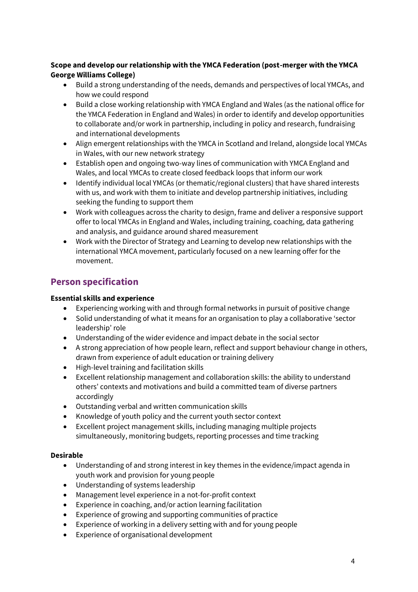#### **Scope and develop our relationship with the YMCA Federation (post-merger with the YMCA George Williams College)**

- Build a strong understanding of the needs, demands and perspectives of local YMCAs, and how we could respond
- Build a close working relationship with YMCA England and Wales (as the national office for the YMCA Federation in England and Wales) in order to identify and develop opportunities to collaborate and/or work in partnership, including in policy and research, fundraising and international developments
- Align emergent relationships with the YMCA in Scotland and Ireland, alongside local YMCAs in Wales, with our new network strategy
- Establish open and ongoing two-way lines of communication with YMCA England and Wales, and local YMCAs to create closed feedback loops that inform our work
- Identify individual local YMCAs (or thematic/regional clusters) that have shared interests with us, and work with them to initiate and develop partnership initiatives, including seeking the funding to support them
- Work with colleagues across the charity to design, frame and deliver a responsive support offer to local YMCAs in England and Wales, including training, coaching, data gathering and analysis, and guidance around shared measurement
- Work with the Director of Strategy and Learning to develop new relationships with the international YMCA movement, particularly focused on a new learning offer for the movement.

# **Person specification**

#### **Essential skills and experience**

- Experiencing working with and through formal networks in pursuit of positive change
- Solid understanding of what it means for an organisation to play a collaborative 'sector leadership' role
- Understanding of the wider evidence and impact debate in the social sector
- A strong appreciation of how people learn, reflect and support behaviour change in others, drawn from experience of adult education or training delivery
- High-level training and facilitation skills
- Excellent relationship management and collaboration skills: the ability to understand others' contexts and motivations and build a committed team of diverse partners accordingly
- Outstanding verbal and written communication skills
- Knowledge of youth policy and the current youth sector context
- Excellent project management skills, including managing multiple projects simultaneously, monitoring budgets, reporting processes and time tracking

#### **Desirable**

- Understanding of and strong interest in key themes in the evidence/impact agenda in youth work and provision for young people
- Understanding of systems leadership
- Management level experience in a not-for-profit context
- Experience in coaching, and/or action learning facilitation
- Experience of growing and supporting communities of practice
- Experience of working in a delivery setting with and for young people
- Experience of organisational development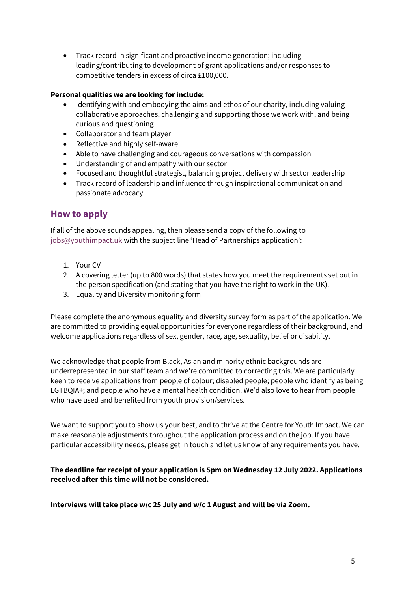• Track record in significant and proactive income generation; including leading/contributing to development of grant applications and/or responses to competitive tenders in excess of circa £100,000.

#### **Personal qualities we are looking for include:**

- Identifying with and embodying the aims and ethos of our charity, including valuing collaborative approaches, challenging and supporting those we work with, and being curious and questioning
- Collaborator and team player
- Reflective and highly self-aware
- Able to have challenging and courageous conversations with compassion
- Understanding of and empathy with our sector
- Focused and thoughtful strategist, balancing project delivery with sector leadership
- Track record of leadership and influence through inspirational communication and passionate advocacy

### **How to apply**

If all of the above sounds appealing, then please send a copy of the following to [jobs@youthimpact.uk](mailto:jobs@youthimpact.uk) with the subject line 'Head of Partnerships application':

- 1. Your CV
- 2. A covering letter (up to 800 words) that states how you meet the requirements set out in the person specification (and stating that you have the right to work in the UK).
- 3. Equality and Diversity monitoring form

Please complete the anonymous equality and diversity survey form as part of the application. We are committed to providing equal opportunities for everyone regardless of their background, and welcome applications regardless of sex, gender, race, age, sexuality, belief or disability.

We acknowledge that people from Black, Asian and minority ethnic backgrounds are underrepresented in our staff team and we're committed to correcting this. We are particularly keen to receive applications from people of colour; disabled people; people who identify as being LGTBQIA+; and people who have a mental health condition. We'd also love to hear from people who have used and benefited from youth provision/services.

We want to support you to show us your best, and to thrive at the Centre for Youth Impact. We can make reasonable adjustments throughout the application process and on the job. If you have particular accessibility needs, please get in touch and let us know of any requirements you have.

#### **The deadline for receipt of your application is 5pm on Wednesday 12 July 2022. Applications received after this time will not be considered.**

**Interviews will take place w/c 25 July and w/c 1 August and will be via Zoom.**